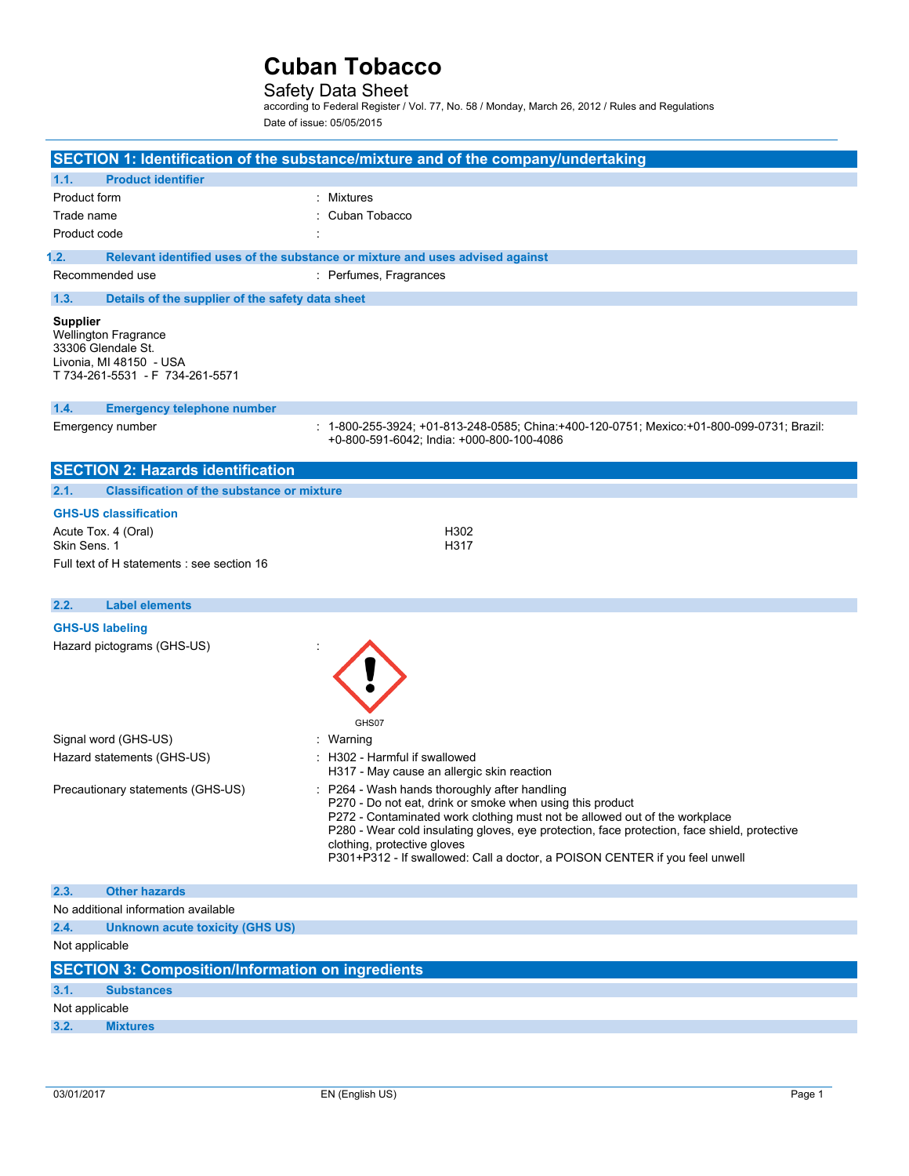## Safety Data Sheet

according to Federal Register / Vol. 77, No. 58 / Monday, March 26, 2012 / Rules and Regulations Date of issue: 05/05/2015

|                 |                                                                                                          | SECTION 1: Identification of the substance/mixture and of the company/undertaking                                                                                          |
|-----------------|----------------------------------------------------------------------------------------------------------|----------------------------------------------------------------------------------------------------------------------------------------------------------------------------|
| 1.1.            | <b>Product identifier</b>                                                                                |                                                                                                                                                                            |
| Product form    |                                                                                                          | Mixtures                                                                                                                                                                   |
| Trade name      |                                                                                                          | Cuban Tobacco                                                                                                                                                              |
| Product code    |                                                                                                          |                                                                                                                                                                            |
| 1.2.            |                                                                                                          | Relevant identified uses of the substance or mixture and uses advised against                                                                                              |
|                 | Recommended use                                                                                          | : Perfumes, Fragrances                                                                                                                                                     |
| 1.3.            | Details of the supplier of the safety data sheet                                                         |                                                                                                                                                                            |
| <b>Supplier</b> | Wellington Fragrance<br>33306 Glendale St.<br>Livonia, MI 48150 - USA<br>T 734-261-5531 - F 734-261-5571 |                                                                                                                                                                            |
| 1.4.            | <b>Emergency telephone number</b>                                                                        |                                                                                                                                                                            |
|                 | Emergency number                                                                                         | : 1-800-255-3924; +01-813-248-0585; China:+400-120-0751; Mexico:+01-800-099-0731; Brazil:<br>+0-800-591-6042; India: +000-800-100-4086                                     |
|                 | <b>SECTION 2: Hazards identification</b>                                                                 |                                                                                                                                                                            |
| 2.1.            | <b>Classification of the substance or mixture</b>                                                        |                                                                                                                                                                            |
|                 | <b>GHS-US classification</b>                                                                             |                                                                                                                                                                            |
|                 | Acute Tox. 4 (Oral)                                                                                      | H302                                                                                                                                                                       |
| Skin Sens. 1    |                                                                                                          | H317                                                                                                                                                                       |
|                 | Full text of H statements : see section 16                                                               |                                                                                                                                                                            |
|                 |                                                                                                          |                                                                                                                                                                            |
| 2.2.            | <b>Label elements</b>                                                                                    |                                                                                                                                                                            |
|                 | <b>GHS-US labeling</b>                                                                                   |                                                                                                                                                                            |
|                 | Hazard pictograms (GHS-US)                                                                               |                                                                                                                                                                            |
|                 |                                                                                                          |                                                                                                                                                                            |
|                 |                                                                                                          |                                                                                                                                                                            |
|                 |                                                                                                          | GHS07                                                                                                                                                                      |
|                 | Signal word (GHS-US)                                                                                     | : Warning                                                                                                                                                                  |
|                 | Hazard statements (GHS-US)                                                                               | H302 - Harmful if swallowed<br>H317 - May cause an allergic skin reaction                                                                                                  |
|                 | Precautionary statements (GHS-US)                                                                        | P264 - Wash hands thoroughly after handling                                                                                                                                |
|                 |                                                                                                          | P270 - Do not eat, drink or smoke when using this product                                                                                                                  |
|                 |                                                                                                          | P272 - Contaminated work clothing must not be allowed out of the workplace<br>P280 - Wear cold insulating gloves, eye protection, face protection, face shield, protective |
|                 |                                                                                                          | clothing, protective gloves                                                                                                                                                |
|                 |                                                                                                          | P301+P312 - If swallowed: Call a doctor, a POISON CENTER if you feel unwell                                                                                                |
|                 |                                                                                                          |                                                                                                                                                                            |
| 2.3.            | <b>Other hazards</b>                                                                                     |                                                                                                                                                                            |
|                 | No additional information available                                                                      |                                                                                                                                                                            |
| 2.4.            | <b>Unknown acute toxicity (GHS US)</b>                                                                   |                                                                                                                                                                            |
| Not applicable  |                                                                                                          |                                                                                                                                                                            |
|                 | <b>SECTION 3: Composition/Information on ingredients</b>                                                 |                                                                                                                                                                            |
| 3.1.            | <b>Substances</b>                                                                                        |                                                                                                                                                                            |
| Not applicable  |                                                                                                          |                                                                                                                                                                            |
| 3.2.            | <b>Mixtures</b>                                                                                          |                                                                                                                                                                            |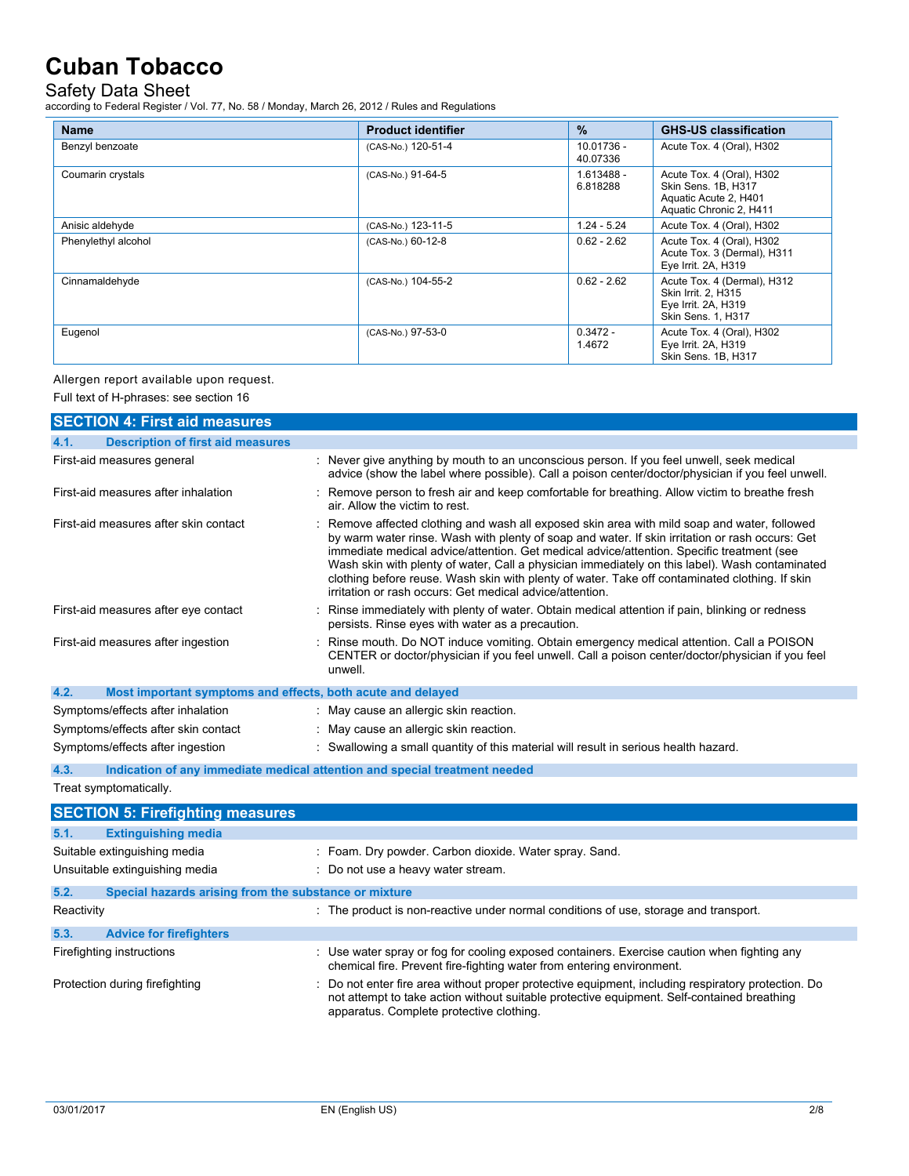## Safety Data Sheet

according to Federal Register / Vol. 77, No. 58 / Monday, March 26, 2012 / Rules and Regulations

| <b>Name</b>         | <b>Product identifier</b> | $\frac{9}{6}$            | <b>GHS-US classification</b>                                                                         |
|---------------------|---------------------------|--------------------------|------------------------------------------------------------------------------------------------------|
| Benzyl benzoate     | (CAS-No.) 120-51-4        | $10.01736 -$<br>40.07336 | Acute Tox. 4 (Oral), H302                                                                            |
| Coumarin crystals   | (CAS-No.) 91-64-5         | 1.613488 -<br>6.818288   | Acute Tox. 4 (Oral), H302<br>Skin Sens. 1B, H317<br>Aquatic Acute 2, H401<br>Aquatic Chronic 2, H411 |
| Anisic aldehyde     | (CAS-No.) 123-11-5        | $1.24 - 5.24$            | Acute Tox. 4 (Oral), H302                                                                            |
| Phenylethyl alcohol | (CAS-No.) 60-12-8         | $0.62 - 2.62$            | Acute Tox. 4 (Oral), H302<br>Acute Tox. 3 (Dermal), H311<br>Eye Irrit. 2A, H319                      |
| Cinnamaldehyde      | (CAS-No.) 104-55-2        | $0.62 - 2.62$            | Acute Tox. 4 (Dermal), H312<br>Skin Irrit. 2. H315<br>Eye Irrit. 2A, H319<br>Skin Sens. 1, H317      |
| Eugenol             | (CAS-No.) 97-53-0         | $0.3472 -$<br>1.4672     | Acute Tox. 4 (Oral), H302<br>Eye Irrit. 2A, H319<br>Skin Sens. 1B, H317                              |

Allergen report available upon request.

Full text of H-phrases: see section 16

| <b>SECTION 4: First aid measures</b>                                |                                                                                                                                                                                                                                                                                                                                                                                                                                                                                                                                                            |
|---------------------------------------------------------------------|------------------------------------------------------------------------------------------------------------------------------------------------------------------------------------------------------------------------------------------------------------------------------------------------------------------------------------------------------------------------------------------------------------------------------------------------------------------------------------------------------------------------------------------------------------|
| 4.1.<br><b>Description of first aid measures</b>                    |                                                                                                                                                                                                                                                                                                                                                                                                                                                                                                                                                            |
| First-aid measures general                                          | : Never give anything by mouth to an unconscious person. If you feel unwell, seek medical<br>advice (show the label where possible). Call a poison center/doctor/physician if you feel unwell.                                                                                                                                                                                                                                                                                                                                                             |
| First-aid measures after inhalation                                 | : Remove person to fresh air and keep comfortable for breathing. Allow victim to breathe fresh<br>air. Allow the victim to rest.                                                                                                                                                                                                                                                                                                                                                                                                                           |
| First-aid measures after skin contact                               | Remove affected clothing and wash all exposed skin area with mild soap and water, followed<br>by warm water rinse. Wash with plenty of soap and water. If skin irritation or rash occurs: Get<br>immediate medical advice/attention. Get medical advice/attention. Specific treatment (see<br>Wash skin with plenty of water, Call a physician immediately on this label). Wash contaminated<br>clothing before reuse. Wash skin with plenty of water. Take off contaminated clothing. If skin<br>irritation or rash occurs: Get medical advice/attention. |
| First-aid measures after eye contact                                | Rinse immediately with plenty of water. Obtain medical attention if pain, blinking or redness<br>persists. Rinse eyes with water as a precaution.                                                                                                                                                                                                                                                                                                                                                                                                          |
| First-aid measures after ingestion                                  | Rinse mouth. Do NOT induce vomiting. Obtain emergency medical attention. Call a POISON<br>CENTER or doctor/physician if you feel unwell. Call a poison center/doctor/physician if you feel<br>unwell.                                                                                                                                                                                                                                                                                                                                                      |
| 4.2.<br>Most important symptoms and effects, both acute and delayed |                                                                                                                                                                                                                                                                                                                                                                                                                                                                                                                                                            |
| Symptoms/effects after inhalation                                   | : May cause an allergic skin reaction.                                                                                                                                                                                                                                                                                                                                                                                                                                                                                                                     |
| Symptoms/effects after skin contact                                 | : May cause an allergic skin reaction.                                                                                                                                                                                                                                                                                                                                                                                                                                                                                                                     |
| Symptoms/effects after ingestion                                    | : Swallowing a small quantity of this material will result in serious health hazard.                                                                                                                                                                                                                                                                                                                                                                                                                                                                       |
| 4.3.                                                                | Indication of any immediate medical attention and special treatment needed                                                                                                                                                                                                                                                                                                                                                                                                                                                                                 |
| Treat symptomatically.                                              |                                                                                                                                                                                                                                                                                                                                                                                                                                                                                                                                                            |
| <b>SECTION 5: Firefighting measures</b>                             |                                                                                                                                                                                                                                                                                                                                                                                                                                                                                                                                                            |
| <b>Extinguishing media</b><br>5.1.                                  |                                                                                                                                                                                                                                                                                                                                                                                                                                                                                                                                                            |
| Suitable extinguishing media                                        | : Foam. Dry powder. Carbon dioxide. Water spray. Sand.                                                                                                                                                                                                                                                                                                                                                                                                                                                                                                     |
| Unsuitable extinguishing media                                      | : Do not use a heavy water stream.                                                                                                                                                                                                                                                                                                                                                                                                                                                                                                                         |
| 5.2.<br>Special hazards arising from the substance or mixture       |                                                                                                                                                                                                                                                                                                                                                                                                                                                                                                                                                            |
| Reactivity                                                          | : The product is non-reactive under normal conditions of use, storage and transport.                                                                                                                                                                                                                                                                                                                                                                                                                                                                       |
| <b>Advice for firefighters</b><br>5.3.                              |                                                                                                                                                                                                                                                                                                                                                                                                                                                                                                                                                            |
| Firefighting instructions                                           | : Use water spray or fog for cooling exposed containers. Exercise caution when fighting any                                                                                                                                                                                                                                                                                                                                                                                                                                                                |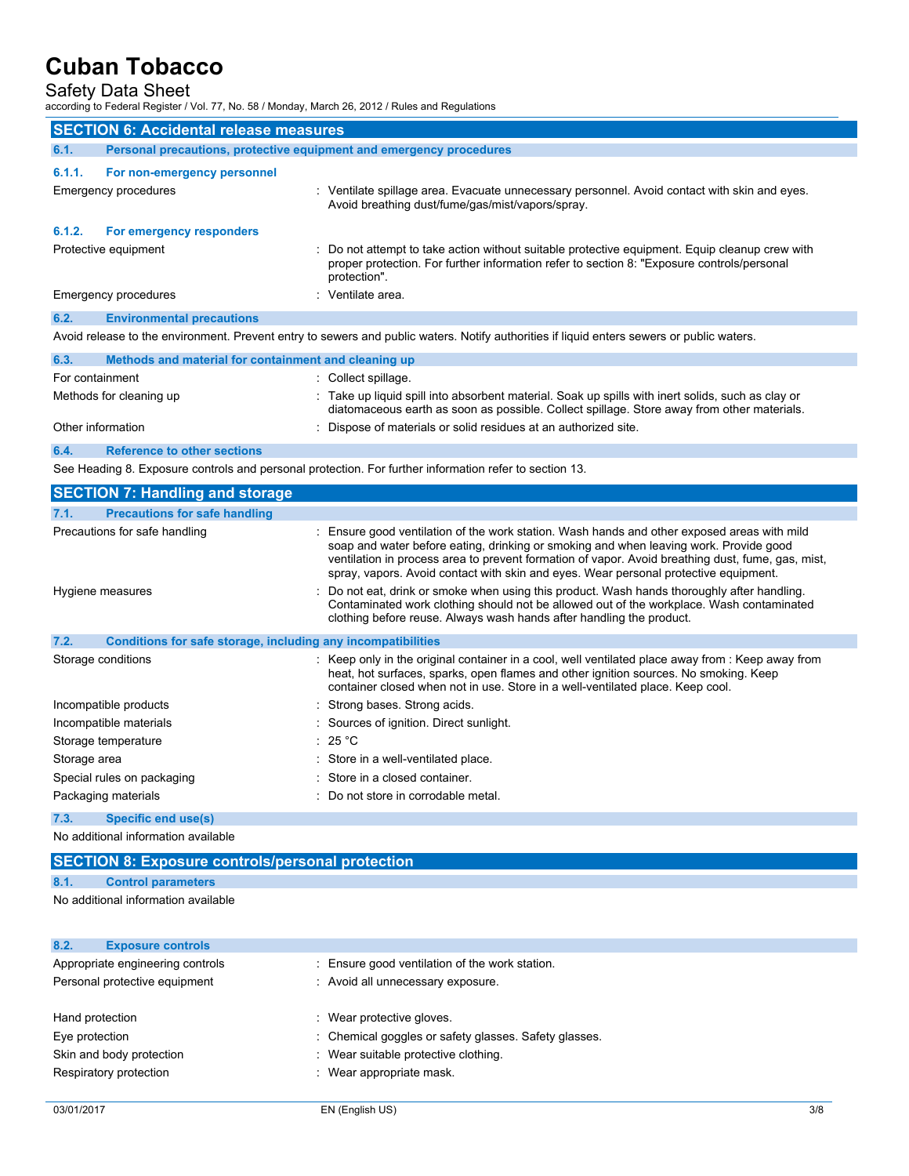## Safety Data Sheet

according to Federal Register / Vol. 77, No. 58 / Monday, March 26, 2012 / Rules and Regulations

|                   | <b>SECTION 6: Accidental release measures</b>                       |                                                                                                                                                                                                              |
|-------------------|---------------------------------------------------------------------|--------------------------------------------------------------------------------------------------------------------------------------------------------------------------------------------------------------|
| 6.1.              | Personal precautions, protective equipment and emergency procedures |                                                                                                                                                                                                              |
| 6.1.1.            | For non-emergency personnel                                         |                                                                                                                                                                                                              |
|                   | Emergency procedures                                                | : Ventilate spillage area. Evacuate unnecessary personnel. Avoid contact with skin and eyes.<br>Avoid breathing dust/fume/gas/mist/vapors/spray.                                                             |
| 6.1.2.            | For emergency responders                                            |                                                                                                                                                                                                              |
|                   | Protective equipment                                                | : Do not attempt to take action without suitable protective equipment. Equip cleanup crew with<br>proper protection. For further information refer to section 8: "Exposure controls/personal<br>protection". |
|                   | Emergency procedures                                                | : Ventilate area.                                                                                                                                                                                            |
| 6.2.              | <b>Environmental precautions</b>                                    |                                                                                                                                                                                                              |
|                   |                                                                     | Avoid release to the environment. Prevent entry to sewers and public waters. Notify authorities if liquid enters sewers or public waters.                                                                    |
| 6.3.              | Methods and material for containment and cleaning up                |                                                                                                                                                                                                              |
| For containment   |                                                                     | : Collect spillage.                                                                                                                                                                                          |
|                   | Methods for cleaning up                                             | : Take up liquid spill into absorbent material. Soak up spills with inert solids, such as clay or<br>diatomaceous earth as soon as possible. Collect spillage. Store away from other materials.              |
| Other information |                                                                     | : Dispose of materials or solid residues at an authorized site.                                                                                                                                              |
| 6.4.              | <b>Reference to other sections</b>                                  |                                                                                                                                                                                                              |
|                   |                                                                     | See Heading 8. Exposure controls and personal protection. For further information refer to section 13.                                                                                                       |
|                   | <b>SECTION 7: Handling and storage</b>                              |                                                                                                                                                                                                              |
| 7.1.              | <b>Precautions for safe handling</b>                                |                                                                                                                                                                                                              |

| 7.1.         | <b>Precautions for safe handling</b>                         |                                                                                                                                                                                                                                                                                                                                                                                   |
|--------------|--------------------------------------------------------------|-----------------------------------------------------------------------------------------------------------------------------------------------------------------------------------------------------------------------------------------------------------------------------------------------------------------------------------------------------------------------------------|
|              | Precautions for safe handling                                | : Ensure good ventilation of the work station. Wash hands and other exposed areas with mild<br>soap and water before eating, drinking or smoking and when leaving work. Provide good<br>ventilation in process area to prevent formation of vapor. Avoid breathing dust, fume, gas, mist,<br>spray, vapors. Avoid contact with skin and eyes. Wear personal protective equipment. |
|              | Hygiene measures                                             | : Do not eat, drink or smoke when using this product. Wash hands thoroughly after handling.<br>Contaminated work clothing should not be allowed out of the workplace. Wash contaminated<br>clothing before reuse. Always wash hands after handling the product.                                                                                                                   |
| 7.2.         | Conditions for safe storage, including any incompatibilities |                                                                                                                                                                                                                                                                                                                                                                                   |
|              | Storage conditions                                           | : Keep only in the original container in a cool, well ventilated place away from : Keep away from<br>heat, hot surfaces, sparks, open flames and other ignition sources. No smoking. Keep<br>container closed when not in use. Store in a well-ventilated place. Keep cool.                                                                                                       |
|              | Incompatible products                                        | : Strong bases. Strong acids.                                                                                                                                                                                                                                                                                                                                                     |
|              | Incompatible materials                                       | : Sources of ignition. Direct sunlight.                                                                                                                                                                                                                                                                                                                                           |
|              | Storage temperature                                          | : 25 °C                                                                                                                                                                                                                                                                                                                                                                           |
| Storage area |                                                              | : Store in a well-ventilated place.                                                                                                                                                                                                                                                                                                                                               |
|              | Special rules on packaging                                   | : Store in a closed container.                                                                                                                                                                                                                                                                                                                                                    |
|              | Packaging materials                                          | : Do not store in corrodable metal.                                                                                                                                                                                                                                                                                                                                               |

#### **7.3. Specific end use(s)**

No additional information available

## **SECTION 8: Exposure controls/personal protection**

**8.1. Control parameters**

## No additional information available

| 8.2.<br><b>Exposure controls</b> |                                                       |
|----------------------------------|-------------------------------------------------------|
| Appropriate engineering controls | : Ensure good ventilation of the work station.        |
| Personal protective equipment    | : Avoid all unnecessary exposure.                     |
| Hand protection                  | Wear protective gloves.                               |
| Eye protection                   | : Chemical goggles or safety glasses. Safety glasses. |
| Skin and body protection         | : Wear suitable protective clothing.                  |
| Respiratory protection           | : Wear appropriate mask.                              |
|                                  |                                                       |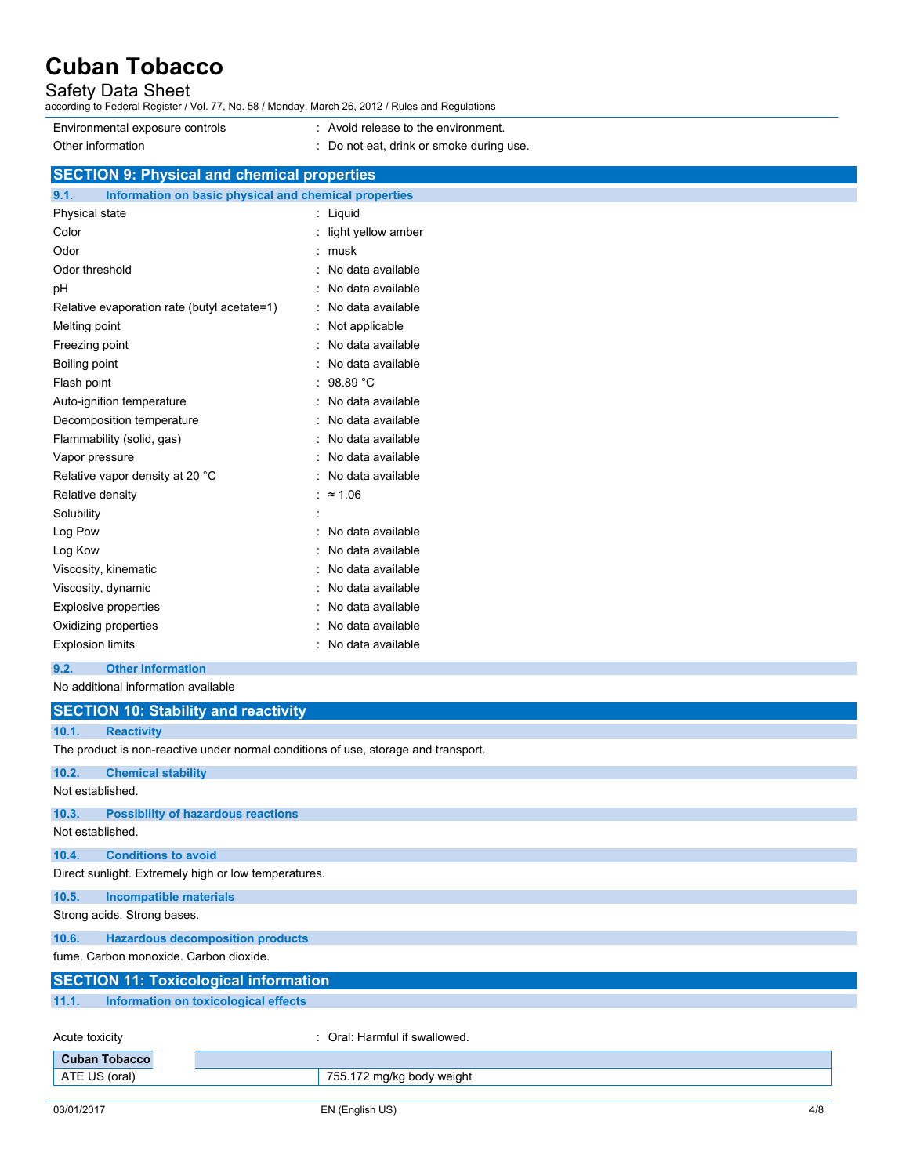## Safety Data Sheet

according to Federal Register / Vol. 77, No. 58 / Monday, March 26, 2012 / Rules and Regulations

- Environmental exposure controls : Avoid release to the environment.
	-
- Other information **contract of the COLO COLOGY** : Do not eat, drink or smoke during use. **SECTION 9: Physical and chemical properties 9.1. Information on basic physical and chemical properties** Physical state in the state of the state of the state of the state of the state of the state of the state of the state of the state of the state of the state of the state of the state of the state of the state of the state Color : light yellow amber

| Odor                                        | musk              |
|---------------------------------------------|-------------------|
| Odor threshold                              | No data available |
| рH                                          | No data available |
| Relative evaporation rate (butyl acetate=1) | No data available |
| Melting point                               | Not applicable    |
| Freezing point                              | No data available |
| Boiling point                               | No data available |
| Flash point                                 | 98.89 °C          |
| Auto-ignition temperature                   | No data available |
| Decomposition temperature                   | No data available |
| Flammability (solid, gas)                   | No data available |
| Vapor pressure                              | No data available |
| Relative vapor density at 20 °C             | No data available |
| Relative density                            | $\approx 1.06$    |
| Solubility                                  |                   |
| Log Pow                                     | No data available |
| Log Kow                                     | No data available |
| Viscosity, kinematic                        | No data available |
| Viscosity, dynamic                          | No data available |
| Explosive properties                        | No data available |
| Oxidizing properties                        | No data available |
| <b>Explosion limits</b>                     | No data available |

### **9.2. Other information**

No additional information available

|                |                                        | <b>SECTION 10: Stability and reactivity</b>                                        |
|----------------|----------------------------------------|------------------------------------------------------------------------------------|
| 10.1.          | <b>Reactivity</b>                      |                                                                                    |
|                |                                        | The product is non-reactive under normal conditions of use, storage and transport. |
| 10.2.          | <b>Chemical stability</b>              |                                                                                    |
|                | Not established.                       |                                                                                    |
| 10.3.          |                                        | <b>Possibility of hazardous reactions</b>                                          |
|                | Not established.                       |                                                                                    |
| 10.4.          | <b>Conditions to avoid</b>             |                                                                                    |
|                |                                        | Direct sunlight. Extremely high or low temperatures.                               |
| 10.5.          | <b>Incompatible materials</b>          |                                                                                    |
|                | Strong acids. Strong bases.            |                                                                                    |
| 10.6.          |                                        | <b>Hazardous decomposition products</b>                                            |
|                | fume, Carbon monoxide, Carbon dioxide. |                                                                                    |
|                |                                        | <b>SECTION 11: Toxicological information</b>                                       |
| 11.1.          |                                        | Information on toxicological effects                                               |
|                |                                        |                                                                                    |
| Acute toxicity |                                        | : Oral: Harmful if swallowed.                                                      |
|                | <b>Cuban Tobacco</b>                   |                                                                                    |
|                | ATE US (oral)                          | 755.172 mg/kg body weight                                                          |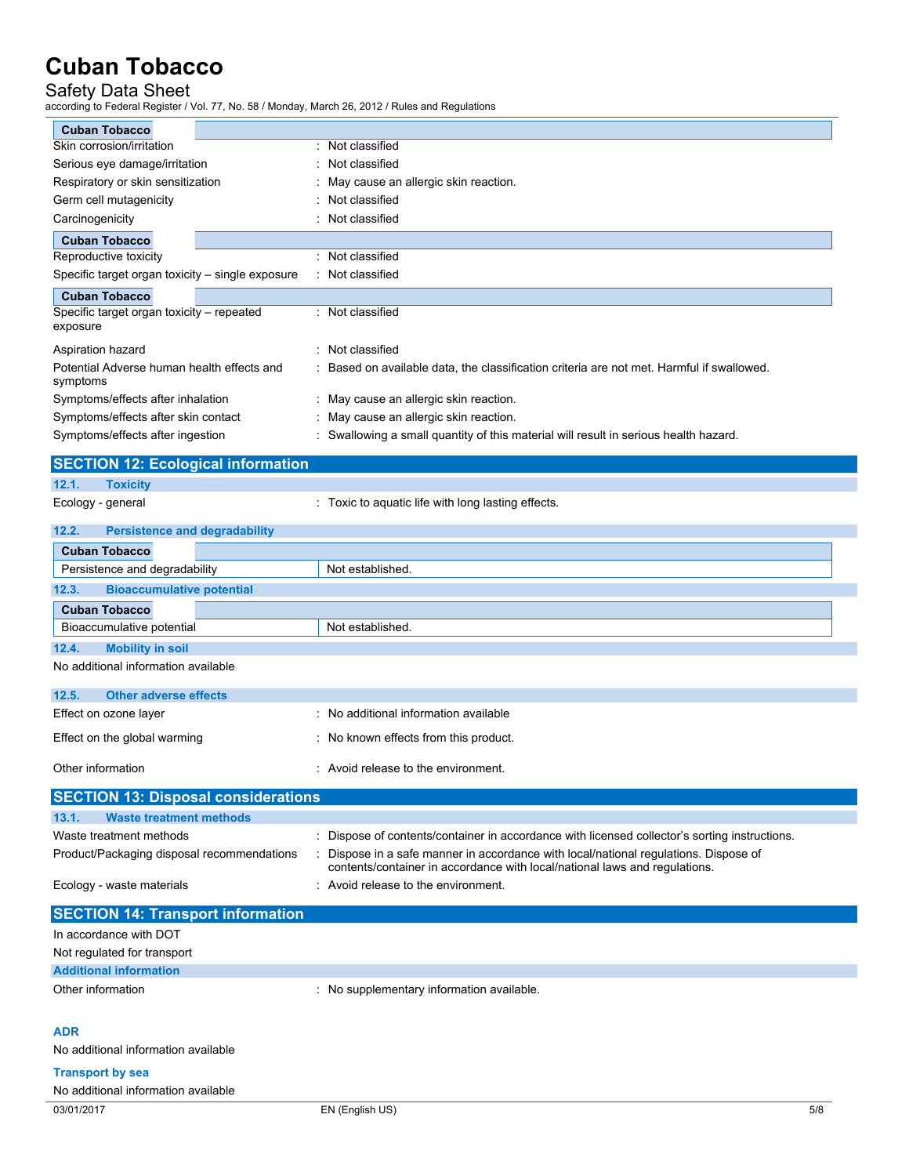## Safety Data Sheet

according to Federal Register / Vol. 77, No. 58 / Monday, March 26, 2012 / Rules and Regulations

| ccording to Federal Register / Vol. 77, No. 58 / Monday, March 26, 2012 / Rules and Regulations<br><b>Cuban Tobacco</b> |                                                                                                                                                                  |
|-------------------------------------------------------------------------------------------------------------------------|------------------------------------------------------------------------------------------------------------------------------------------------------------------|
| Skin corrosion/irritation                                                                                               | Not classified                                                                                                                                                   |
| Serious eye damage/irritation                                                                                           | Not classified                                                                                                                                                   |
| Respiratory or skin sensitization                                                                                       | May cause an allergic skin reaction.                                                                                                                             |
| Germ cell mutagenicity                                                                                                  | Not classified                                                                                                                                                   |
| Carcinogenicity                                                                                                         | Not classified                                                                                                                                                   |
| <b>Cuban Tobacco</b>                                                                                                    |                                                                                                                                                                  |
| Reproductive toxicity                                                                                                   | Not classified                                                                                                                                                   |
| Specific target organ toxicity - single exposure                                                                        | Not classified                                                                                                                                                   |
| <b>Cuban Tobacco</b>                                                                                                    |                                                                                                                                                                  |
| Specific target organ toxicity - repeated<br>exposure                                                                   | : Not classified                                                                                                                                                 |
| Aspiration hazard                                                                                                       | Not classified                                                                                                                                                   |
| Potential Adverse human health effects and<br>symptoms                                                                  | Based on available data, the classification criteria are not met. Harmful if swallowed.                                                                          |
| Symptoms/effects after inhalation                                                                                       | May cause an allergic skin reaction.                                                                                                                             |
| Symptoms/effects after skin contact                                                                                     | May cause an allergic skin reaction.                                                                                                                             |
| Symptoms/effects after ingestion                                                                                        | Swallowing a small quantity of this material will result in serious health hazard.                                                                               |
| <b>SECTION 12: Ecological information</b>                                                                               |                                                                                                                                                                  |
| 12.1.<br><b>Toxicity</b>                                                                                                |                                                                                                                                                                  |
| Ecology - general                                                                                                       | : Toxic to aquatic life with long lasting effects.                                                                                                               |
| <b>Persistence and degradability</b><br>12.2.                                                                           |                                                                                                                                                                  |
| <b>Cuban Tobacco</b>                                                                                                    |                                                                                                                                                                  |
| Persistence and degradability                                                                                           | Not established.                                                                                                                                                 |
| <b>Bioaccumulative potential</b><br>12.3.                                                                               |                                                                                                                                                                  |
| <b>Cuban Tobacco</b>                                                                                                    |                                                                                                                                                                  |
| Bioaccumulative potential                                                                                               | Not established.                                                                                                                                                 |
| <b>Mobility in soil</b><br>12.4.                                                                                        |                                                                                                                                                                  |
| No additional information available                                                                                     |                                                                                                                                                                  |
| 12.5.<br><b>Other adverse effects</b>                                                                                   |                                                                                                                                                                  |
| Effect on ozone layer                                                                                                   | : No additional information available                                                                                                                            |
| Effect on the global warming                                                                                            | No known effects from this product.                                                                                                                              |
| Other information                                                                                                       | : Avoid release to the environment.                                                                                                                              |
| <b>SECTION 13: Disposal considerations</b>                                                                              |                                                                                                                                                                  |
| 13.1.<br><b>Waste treatment methods</b>                                                                                 |                                                                                                                                                                  |
| Waste treatment methods                                                                                                 | Dispose of contents/container in accordance with licensed collector's sorting instructions.                                                                      |
| Product/Packaging disposal recommendations                                                                              | Dispose in a safe manner in accordance with local/national regulations. Dispose of<br>contents/container in accordance with local/national laws and regulations. |
| Ecology - waste materials                                                                                               | Avoid release to the environment.                                                                                                                                |
| <b>SECTION 14: Transport information</b>                                                                                |                                                                                                                                                                  |
| In accordance with DOT                                                                                                  |                                                                                                                                                                  |
| Not regulated for transport                                                                                             |                                                                                                                                                                  |
| <b>Additional information</b>                                                                                           |                                                                                                                                                                  |
| Other information                                                                                                       | : No supplementary information available.                                                                                                                        |
|                                                                                                                         |                                                                                                                                                                  |

## **ADR**

No additional information available

### **Transport by sea** No additional information available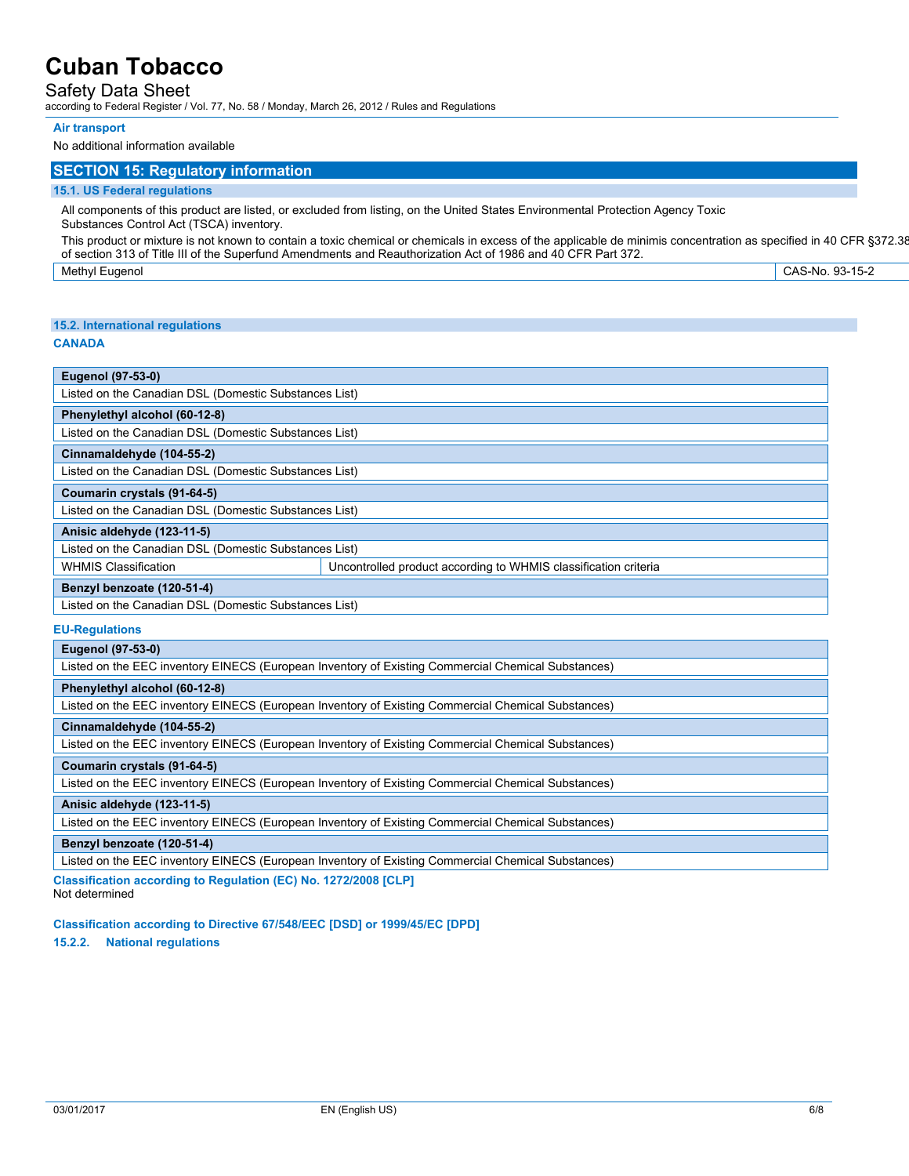## Safety Data Sheet

according to Federal Register / Vol. 77, No. 58 / Monday, March 26, 2012 / Rules and Regulations

#### **Air transport**

No additional information available

## **SECTION 15: Regulatory information**

#### **15.1. US Federal regulations**

All components of this product are listed, or excluded from listing, on the United States Environmental Protection Agency Toxic Substances Control Act (TSCA) inventory.

This product or mixture is not known to contain a toxic chemical or chemicals in excess of the applicable de minimis concentration as specified in 40 CFR §372.38 of section 313 of Title III of the Superfund Amendments and Reauthorization Act of 1986 and 40 CFR Part 372.

Methyl Eugenol CAS-No. 93-15-2 0.0000496 - 0.0002096%

#### **15.2. International regulations**

### **CANADA**

| <b>Eugenol (97-53-0)</b>                                                                       |  |  |  |
|------------------------------------------------------------------------------------------------|--|--|--|
| Listed on the Canadian DSL (Domestic Substances List)                                          |  |  |  |
| Phenylethyl alcohol (60-12-8)                                                                  |  |  |  |
| Listed on the Canadian DSL (Domestic Substances List)                                          |  |  |  |
| Cinnamaldehyde (104-55-2)                                                                      |  |  |  |
| Listed on the Canadian DSL (Domestic Substances List)                                          |  |  |  |
| Coumarin crystals (91-64-5)                                                                    |  |  |  |
| Listed on the Canadian DSL (Domestic Substances List)                                          |  |  |  |
| Anisic aldehyde (123-11-5)                                                                     |  |  |  |
| Listed on the Canadian DSL (Domestic Substances List)                                          |  |  |  |
| Uncontrolled product according to WHMIS classification criteria<br><b>WHMIS Classification</b> |  |  |  |
| Benzyl benzoate (120-51-4)                                                                     |  |  |  |
| <b>Listed an the Occasion DOL (Demantia Orthodoxical Ist)</b>                                  |  |  |  |

| Listed on the Canadian DSL (Domestic Substances List)

#### **EU-Regulations**

#### **Eugenol (97-53-0)**

Listed on the EEC inventory EINECS (European Inventory of Existing Commercial Chemical Substances)

#### **Phenylethyl alcohol (60-12-8)**

Listed on the EEC inventory EINECS (European Inventory of Existing Commercial Chemical Substances)

#### **Cinnamaldehyde (104-55-2)**

Listed on the EEC inventory EINECS (European Inventory of Existing Commercial Chemical Substances)

#### **Coumarin crystals (91-64-5)**

Listed on the EEC inventory EINECS (European Inventory of Existing Commercial Chemical Substances)

#### **Anisic aldehyde (123-11-5)**

Listed on the EEC inventory EINECS (European Inventory of Existing Commercial Chemical Substances)

#### **Benzyl benzoate (120-51-4)**

Listed on the EEC inventory EINECS (European Inventory of Existing Commercial Chemical Substances)

**Classification according to Regulation (EC) No. 1272/2008 [CLP]**

Not determined

**Classification according to Directive 67/548/EEC [DSD] or 1999/45/EC [DPD]**

#### **15.2.2. National regulations**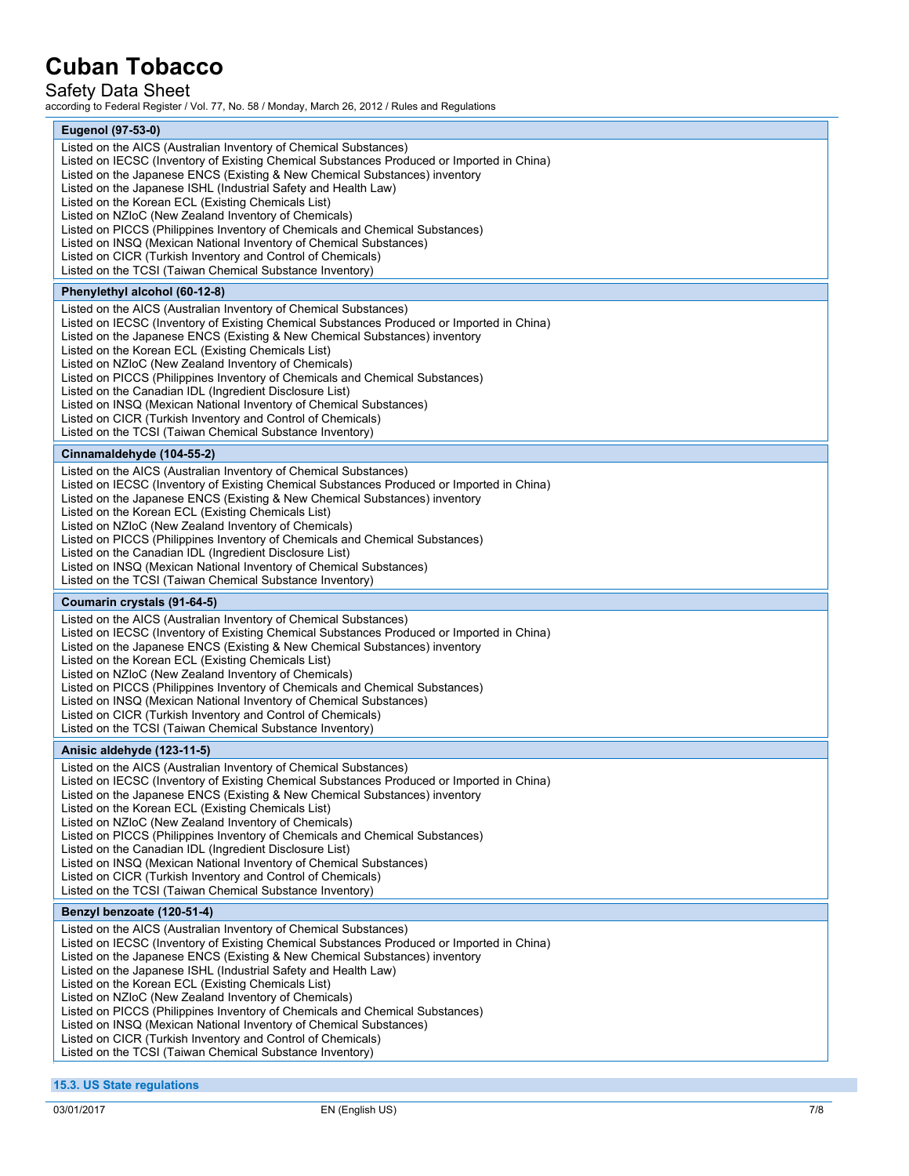## Safety Data Sheet

according to Federal Register / Vol. 77, No. 58 / Monday, March 26, 2012 / Rules and Regulations

| <b>Eugenol (97-53-0)</b><br>Listed on the AICS (Australian Inventory of Chemical Substances)<br>Listed on IECSC (Inventory of Existing Chemical Substances Produced or Imported in China)<br>Listed on the Japanese ENCS (Existing & New Chemical Substances) inventory<br>Listed on the Japanese ISHL (Industrial Safety and Health Law)<br>Listed on the Korean ECL (Existing Chemicals List)<br>Listed on NZIoC (New Zealand Inventory of Chemicals)<br>Listed on PICCS (Philippines Inventory of Chemicals and Chemical Substances)<br>Listed on INSQ (Mexican National Inventory of Chemical Substances)<br>Listed on CICR (Turkish Inventory and Control of Chemicals)<br>Listed on the TCSI (Taiwan Chemical Substance Inventory)<br>Phenylethyl alcohol (60-12-8)<br>Listed on the AICS (Australian Inventory of Chemical Substances)<br>Listed on IECSC (Inventory of Existing Chemical Substances Produced or Imported in China)<br>Listed on the Japanese ENCS (Existing & New Chemical Substances) inventory<br>Listed on the Korean ECL (Existing Chemicals List)<br>Listed on NZIoC (New Zealand Inventory of Chemicals)<br>Listed on PICCS (Philippines Inventory of Chemicals and Chemical Substances)<br>Listed on the Canadian IDL (Ingredient Disclosure List)<br>Listed on INSQ (Mexican National Inventory of Chemical Substances)<br>Listed on CICR (Turkish Inventory and Control of Chemicals)<br>Listed on the TCSI (Taiwan Chemical Substance Inventory)<br>Cinnamaldehyde (104-55-2)<br>Listed on the AICS (Australian Inventory of Chemical Substances)<br>Listed on IECSC (Inventory of Existing Chemical Substances Produced or Imported in China)<br>Listed on the Japanese ENCS (Existing & New Chemical Substances) inventory<br>Listed on the Korean ECL (Existing Chemicals List)<br>Listed on NZIoC (New Zealand Inventory of Chemicals)<br>Listed on PICCS (Philippines Inventory of Chemicals and Chemical Substances)<br>Listed on the Canadian IDL (Ingredient Disclosure List)<br>Listed on INSQ (Mexican National Inventory of Chemical Substances)<br>Listed on the TCSI (Taiwan Chemical Substance Inventory)<br>Coumarin crystals (91-64-5)<br>Listed on the AICS (Australian Inventory of Chemical Substances)<br>Listed on IECSC (Inventory of Existing Chemical Substances Produced or Imported in China)<br>Listed on the Japanese ENCS (Existing & New Chemical Substances) inventory<br>Listed on the Korean ECL (Existing Chemicals List)<br>Listed on NZIoC (New Zealand Inventory of Chemicals)<br>Listed on PICCS (Philippines Inventory of Chemicals and Chemical Substances)<br>Listed on INSQ (Mexican National Inventory of Chemical Substances)<br>Listed on CICR (Turkish Inventory and Control of Chemicals)<br>Listed on the TCSI (Taiwan Chemical Substance Inventory)<br>Anisic aldehyde (123-11-5)<br>Listed on the AICS (Australian Inventory of Chemical Substances)<br>Listed on IECSC (Inventory of Existing Chemical Substances Produced or Imported in China)<br>Listed on the Japanese ENCS (Existing & New Chemical Substances) inventory<br>Listed on the Korean ECL (Existing Chemicals List)<br>Listed on NZIoC (New Zealand Inventory of Chemicals)<br>Listed on PICCS (Philippines Inventory of Chemicals and Chemical Substances)<br>Listed on the Canadian IDL (Ingredient Disclosure List)<br>Listed on INSQ (Mexican National Inventory of Chemical Substances)<br>Listed on CICR (Turkish Inventory and Control of Chemicals)<br>Listed on the TCSI (Taiwan Chemical Substance Inventory)<br>Benzyl benzoate (120-51-4)<br>Listed on the AICS (Australian Inventory of Chemical Substances)<br>Listed on IECSC (Inventory of Existing Chemical Substances Produced or Imported in China)<br>Listed on the Japanese ENCS (Existing & New Chemical Substances) inventory<br>Listed on the Japanese ISHL (Industrial Safety and Health Law)<br>Listed on the Korean ECL (Existing Chemicals List)<br>Listed on NZIoC (New Zealand Inventory of Chemicals)<br>Listed on PICCS (Philippines Inventory of Chemicals and Chemical Substances)<br>Listed on INSQ (Mexican National Inventory of Chemical Substances)<br>Listed on CICR (Turkish Inventory and Control of Chemicals)<br>Listed on the TCSI (Taiwan Chemical Substance Inventory) |  |
|-----------------------------------------------------------------------------------------------------------------------------------------------------------------------------------------------------------------------------------------------------------------------------------------------------------------------------------------------------------------------------------------------------------------------------------------------------------------------------------------------------------------------------------------------------------------------------------------------------------------------------------------------------------------------------------------------------------------------------------------------------------------------------------------------------------------------------------------------------------------------------------------------------------------------------------------------------------------------------------------------------------------------------------------------------------------------------------------------------------------------------------------------------------------------------------------------------------------------------------------------------------------------------------------------------------------------------------------------------------------------------------------------------------------------------------------------------------------------------------------------------------------------------------------------------------------------------------------------------------------------------------------------------------------------------------------------------------------------------------------------------------------------------------------------------------------------------------------------------------------------------------------------------------------------------------------------------------------------------------------------------------------------------------------------------------------------------------------------------------------------------------------------------------------------------------------------------------------------------------------------------------------------------------------------------------------------------------------------------------------------------------------------------------------------------------------------------------------------------------------------------------------------------------------------------------------------------------------------------------------------------------------------------------------------------------------------------------------------------------------------------------------------------------------------------------------------------------------------------------------------------------------------------------------------------------------------------------------------------------------------------------------------------------------------------------------------------------------------------------------------------------------------------------------------------------------------------------------------------------------------------------------------------------------------------------------------------------------------------------------------------------------------------------------------------------------------------------------------------------------------------------------------------------------------------------------------------------------------------------------------------------------------------------------------------------------------------------------------------------------------------------------------------------------------------------------------------------------------------------------------------------------------------------------------------------------------------------------------------------------------------------------------------------------------------------------------------------------------------------------------------------------------------------------------------------------------------------------------------------------------------------------------------------------------------------------------------|--|
| 15.3. US State regulations                                                                                                                                                                                                                                                                                                                                                                                                                                                                                                                                                                                                                                                                                                                                                                                                                                                                                                                                                                                                                                                                                                                                                                                                                                                                                                                                                                                                                                                                                                                                                                                                                                                                                                                                                                                                                                                                                                                                                                                                                                                                                                                                                                                                                                                                                                                                                                                                                                                                                                                                                                                                                                                                                                                                                                                                                                                                                                                                                                                                                                                                                                                                                                                                                                                                                                                                                                                                                                                                                                                                                                                                                                                                                                                                                                                                                                                                                                                                                                                                                                                                                                                                                                                                                                                                                                  |  |
|                                                                                                                                                                                                                                                                                                                                                                                                                                                                                                                                                                                                                                                                                                                                                                                                                                                                                                                                                                                                                                                                                                                                                                                                                                                                                                                                                                                                                                                                                                                                                                                                                                                                                                                                                                                                                                                                                                                                                                                                                                                                                                                                                                                                                                                                                                                                                                                                                                                                                                                                                                                                                                                                                                                                                                                                                                                                                                                                                                                                                                                                                                                                                                                                                                                                                                                                                                                                                                                                                                                                                                                                                                                                                                                                                                                                                                                                                                                                                                                                                                                                                                                                                                                                                                                                                                                             |  |
|                                                                                                                                                                                                                                                                                                                                                                                                                                                                                                                                                                                                                                                                                                                                                                                                                                                                                                                                                                                                                                                                                                                                                                                                                                                                                                                                                                                                                                                                                                                                                                                                                                                                                                                                                                                                                                                                                                                                                                                                                                                                                                                                                                                                                                                                                                                                                                                                                                                                                                                                                                                                                                                                                                                                                                                                                                                                                                                                                                                                                                                                                                                                                                                                                                                                                                                                                                                                                                                                                                                                                                                                                                                                                                                                                                                                                                                                                                                                                                                                                                                                                                                                                                                                                                                                                                                             |  |
|                                                                                                                                                                                                                                                                                                                                                                                                                                                                                                                                                                                                                                                                                                                                                                                                                                                                                                                                                                                                                                                                                                                                                                                                                                                                                                                                                                                                                                                                                                                                                                                                                                                                                                                                                                                                                                                                                                                                                                                                                                                                                                                                                                                                                                                                                                                                                                                                                                                                                                                                                                                                                                                                                                                                                                                                                                                                                                                                                                                                                                                                                                                                                                                                                                                                                                                                                                                                                                                                                                                                                                                                                                                                                                                                                                                                                                                                                                                                                                                                                                                                                                                                                                                                                                                                                                                             |  |
|                                                                                                                                                                                                                                                                                                                                                                                                                                                                                                                                                                                                                                                                                                                                                                                                                                                                                                                                                                                                                                                                                                                                                                                                                                                                                                                                                                                                                                                                                                                                                                                                                                                                                                                                                                                                                                                                                                                                                                                                                                                                                                                                                                                                                                                                                                                                                                                                                                                                                                                                                                                                                                                                                                                                                                                                                                                                                                                                                                                                                                                                                                                                                                                                                                                                                                                                                                                                                                                                                                                                                                                                                                                                                                                                                                                                                                                                                                                                                                                                                                                                                                                                                                                                                                                                                                                             |  |
|                                                                                                                                                                                                                                                                                                                                                                                                                                                                                                                                                                                                                                                                                                                                                                                                                                                                                                                                                                                                                                                                                                                                                                                                                                                                                                                                                                                                                                                                                                                                                                                                                                                                                                                                                                                                                                                                                                                                                                                                                                                                                                                                                                                                                                                                                                                                                                                                                                                                                                                                                                                                                                                                                                                                                                                                                                                                                                                                                                                                                                                                                                                                                                                                                                                                                                                                                                                                                                                                                                                                                                                                                                                                                                                                                                                                                                                                                                                                                                                                                                                                                                                                                                                                                                                                                                                             |  |
|                                                                                                                                                                                                                                                                                                                                                                                                                                                                                                                                                                                                                                                                                                                                                                                                                                                                                                                                                                                                                                                                                                                                                                                                                                                                                                                                                                                                                                                                                                                                                                                                                                                                                                                                                                                                                                                                                                                                                                                                                                                                                                                                                                                                                                                                                                                                                                                                                                                                                                                                                                                                                                                                                                                                                                                                                                                                                                                                                                                                                                                                                                                                                                                                                                                                                                                                                                                                                                                                                                                                                                                                                                                                                                                                                                                                                                                                                                                                                                                                                                                                                                                                                                                                                                                                                                                             |  |
|                                                                                                                                                                                                                                                                                                                                                                                                                                                                                                                                                                                                                                                                                                                                                                                                                                                                                                                                                                                                                                                                                                                                                                                                                                                                                                                                                                                                                                                                                                                                                                                                                                                                                                                                                                                                                                                                                                                                                                                                                                                                                                                                                                                                                                                                                                                                                                                                                                                                                                                                                                                                                                                                                                                                                                                                                                                                                                                                                                                                                                                                                                                                                                                                                                                                                                                                                                                                                                                                                                                                                                                                                                                                                                                                                                                                                                                                                                                                                                                                                                                                                                                                                                                                                                                                                                                             |  |
|                                                                                                                                                                                                                                                                                                                                                                                                                                                                                                                                                                                                                                                                                                                                                                                                                                                                                                                                                                                                                                                                                                                                                                                                                                                                                                                                                                                                                                                                                                                                                                                                                                                                                                                                                                                                                                                                                                                                                                                                                                                                                                                                                                                                                                                                                                                                                                                                                                                                                                                                                                                                                                                                                                                                                                                                                                                                                                                                                                                                                                                                                                                                                                                                                                                                                                                                                                                                                                                                                                                                                                                                                                                                                                                                                                                                                                                                                                                                                                                                                                                                                                                                                                                                                                                                                                                             |  |
|                                                                                                                                                                                                                                                                                                                                                                                                                                                                                                                                                                                                                                                                                                                                                                                                                                                                                                                                                                                                                                                                                                                                                                                                                                                                                                                                                                                                                                                                                                                                                                                                                                                                                                                                                                                                                                                                                                                                                                                                                                                                                                                                                                                                                                                                                                                                                                                                                                                                                                                                                                                                                                                                                                                                                                                                                                                                                                                                                                                                                                                                                                                                                                                                                                                                                                                                                                                                                                                                                                                                                                                                                                                                                                                                                                                                                                                                                                                                                                                                                                                                                                                                                                                                                                                                                                                             |  |
|                                                                                                                                                                                                                                                                                                                                                                                                                                                                                                                                                                                                                                                                                                                                                                                                                                                                                                                                                                                                                                                                                                                                                                                                                                                                                                                                                                                                                                                                                                                                                                                                                                                                                                                                                                                                                                                                                                                                                                                                                                                                                                                                                                                                                                                                                                                                                                                                                                                                                                                                                                                                                                                                                                                                                                                                                                                                                                                                                                                                                                                                                                                                                                                                                                                                                                                                                                                                                                                                                                                                                                                                                                                                                                                                                                                                                                                                                                                                                                                                                                                                                                                                                                                                                                                                                                                             |  |
|                                                                                                                                                                                                                                                                                                                                                                                                                                                                                                                                                                                                                                                                                                                                                                                                                                                                                                                                                                                                                                                                                                                                                                                                                                                                                                                                                                                                                                                                                                                                                                                                                                                                                                                                                                                                                                                                                                                                                                                                                                                                                                                                                                                                                                                                                                                                                                                                                                                                                                                                                                                                                                                                                                                                                                                                                                                                                                                                                                                                                                                                                                                                                                                                                                                                                                                                                                                                                                                                                                                                                                                                                                                                                                                                                                                                                                                                                                                                                                                                                                                                                                                                                                                                                                                                                                                             |  |
|                                                                                                                                                                                                                                                                                                                                                                                                                                                                                                                                                                                                                                                                                                                                                                                                                                                                                                                                                                                                                                                                                                                                                                                                                                                                                                                                                                                                                                                                                                                                                                                                                                                                                                                                                                                                                                                                                                                                                                                                                                                                                                                                                                                                                                                                                                                                                                                                                                                                                                                                                                                                                                                                                                                                                                                                                                                                                                                                                                                                                                                                                                                                                                                                                                                                                                                                                                                                                                                                                                                                                                                                                                                                                                                                                                                                                                                                                                                                                                                                                                                                                                                                                                                                                                                                                                                             |  |
|                                                                                                                                                                                                                                                                                                                                                                                                                                                                                                                                                                                                                                                                                                                                                                                                                                                                                                                                                                                                                                                                                                                                                                                                                                                                                                                                                                                                                                                                                                                                                                                                                                                                                                                                                                                                                                                                                                                                                                                                                                                                                                                                                                                                                                                                                                                                                                                                                                                                                                                                                                                                                                                                                                                                                                                                                                                                                                                                                                                                                                                                                                                                                                                                                                                                                                                                                                                                                                                                                                                                                                                                                                                                                                                                                                                                                                                                                                                                                                                                                                                                                                                                                                                                                                                                                                                             |  |
|                                                                                                                                                                                                                                                                                                                                                                                                                                                                                                                                                                                                                                                                                                                                                                                                                                                                                                                                                                                                                                                                                                                                                                                                                                                                                                                                                                                                                                                                                                                                                                                                                                                                                                                                                                                                                                                                                                                                                                                                                                                                                                                                                                                                                                                                                                                                                                                                                                                                                                                                                                                                                                                                                                                                                                                                                                                                                                                                                                                                                                                                                                                                                                                                                                                                                                                                                                                                                                                                                                                                                                                                                                                                                                                                                                                                                                                                                                                                                                                                                                                                                                                                                                                                                                                                                                                             |  |
|                                                                                                                                                                                                                                                                                                                                                                                                                                                                                                                                                                                                                                                                                                                                                                                                                                                                                                                                                                                                                                                                                                                                                                                                                                                                                                                                                                                                                                                                                                                                                                                                                                                                                                                                                                                                                                                                                                                                                                                                                                                                                                                                                                                                                                                                                                                                                                                                                                                                                                                                                                                                                                                                                                                                                                                                                                                                                                                                                                                                                                                                                                                                                                                                                                                                                                                                                                                                                                                                                                                                                                                                                                                                                                                                                                                                                                                                                                                                                                                                                                                                                                                                                                                                                                                                                                                             |  |
|                                                                                                                                                                                                                                                                                                                                                                                                                                                                                                                                                                                                                                                                                                                                                                                                                                                                                                                                                                                                                                                                                                                                                                                                                                                                                                                                                                                                                                                                                                                                                                                                                                                                                                                                                                                                                                                                                                                                                                                                                                                                                                                                                                                                                                                                                                                                                                                                                                                                                                                                                                                                                                                                                                                                                                                                                                                                                                                                                                                                                                                                                                                                                                                                                                                                                                                                                                                                                                                                                                                                                                                                                                                                                                                                                                                                                                                                                                                                                                                                                                                                                                                                                                                                                                                                                                                             |  |
|                                                                                                                                                                                                                                                                                                                                                                                                                                                                                                                                                                                                                                                                                                                                                                                                                                                                                                                                                                                                                                                                                                                                                                                                                                                                                                                                                                                                                                                                                                                                                                                                                                                                                                                                                                                                                                                                                                                                                                                                                                                                                                                                                                                                                                                                                                                                                                                                                                                                                                                                                                                                                                                                                                                                                                                                                                                                                                                                                                                                                                                                                                                                                                                                                                                                                                                                                                                                                                                                                                                                                                                                                                                                                                                                                                                                                                                                                                                                                                                                                                                                                                                                                                                                                                                                                                                             |  |
|                                                                                                                                                                                                                                                                                                                                                                                                                                                                                                                                                                                                                                                                                                                                                                                                                                                                                                                                                                                                                                                                                                                                                                                                                                                                                                                                                                                                                                                                                                                                                                                                                                                                                                                                                                                                                                                                                                                                                                                                                                                                                                                                                                                                                                                                                                                                                                                                                                                                                                                                                                                                                                                                                                                                                                                                                                                                                                                                                                                                                                                                                                                                                                                                                                                                                                                                                                                                                                                                                                                                                                                                                                                                                                                                                                                                                                                                                                                                                                                                                                                                                                                                                                                                                                                                                                                             |  |
|                                                                                                                                                                                                                                                                                                                                                                                                                                                                                                                                                                                                                                                                                                                                                                                                                                                                                                                                                                                                                                                                                                                                                                                                                                                                                                                                                                                                                                                                                                                                                                                                                                                                                                                                                                                                                                                                                                                                                                                                                                                                                                                                                                                                                                                                                                                                                                                                                                                                                                                                                                                                                                                                                                                                                                                                                                                                                                                                                                                                                                                                                                                                                                                                                                                                                                                                                                                                                                                                                                                                                                                                                                                                                                                                                                                                                                                                                                                                                                                                                                                                                                                                                                                                                                                                                                                             |  |
|                                                                                                                                                                                                                                                                                                                                                                                                                                                                                                                                                                                                                                                                                                                                                                                                                                                                                                                                                                                                                                                                                                                                                                                                                                                                                                                                                                                                                                                                                                                                                                                                                                                                                                                                                                                                                                                                                                                                                                                                                                                                                                                                                                                                                                                                                                                                                                                                                                                                                                                                                                                                                                                                                                                                                                                                                                                                                                                                                                                                                                                                                                                                                                                                                                                                                                                                                                                                                                                                                                                                                                                                                                                                                                                                                                                                                                                                                                                                                                                                                                                                                                                                                                                                                                                                                                                             |  |
|                                                                                                                                                                                                                                                                                                                                                                                                                                                                                                                                                                                                                                                                                                                                                                                                                                                                                                                                                                                                                                                                                                                                                                                                                                                                                                                                                                                                                                                                                                                                                                                                                                                                                                                                                                                                                                                                                                                                                                                                                                                                                                                                                                                                                                                                                                                                                                                                                                                                                                                                                                                                                                                                                                                                                                                                                                                                                                                                                                                                                                                                                                                                                                                                                                                                                                                                                                                                                                                                                                                                                                                                                                                                                                                                                                                                                                                                                                                                                                                                                                                                                                                                                                                                                                                                                                                             |  |
|                                                                                                                                                                                                                                                                                                                                                                                                                                                                                                                                                                                                                                                                                                                                                                                                                                                                                                                                                                                                                                                                                                                                                                                                                                                                                                                                                                                                                                                                                                                                                                                                                                                                                                                                                                                                                                                                                                                                                                                                                                                                                                                                                                                                                                                                                                                                                                                                                                                                                                                                                                                                                                                                                                                                                                                                                                                                                                                                                                                                                                                                                                                                                                                                                                                                                                                                                                                                                                                                                                                                                                                                                                                                                                                                                                                                                                                                                                                                                                                                                                                                                                                                                                                                                                                                                                                             |  |
|                                                                                                                                                                                                                                                                                                                                                                                                                                                                                                                                                                                                                                                                                                                                                                                                                                                                                                                                                                                                                                                                                                                                                                                                                                                                                                                                                                                                                                                                                                                                                                                                                                                                                                                                                                                                                                                                                                                                                                                                                                                                                                                                                                                                                                                                                                                                                                                                                                                                                                                                                                                                                                                                                                                                                                                                                                                                                                                                                                                                                                                                                                                                                                                                                                                                                                                                                                                                                                                                                                                                                                                                                                                                                                                                                                                                                                                                                                                                                                                                                                                                                                                                                                                                                                                                                                                             |  |
|                                                                                                                                                                                                                                                                                                                                                                                                                                                                                                                                                                                                                                                                                                                                                                                                                                                                                                                                                                                                                                                                                                                                                                                                                                                                                                                                                                                                                                                                                                                                                                                                                                                                                                                                                                                                                                                                                                                                                                                                                                                                                                                                                                                                                                                                                                                                                                                                                                                                                                                                                                                                                                                                                                                                                                                                                                                                                                                                                                                                                                                                                                                                                                                                                                                                                                                                                                                                                                                                                                                                                                                                                                                                                                                                                                                                                                                                                                                                                                                                                                                                                                                                                                                                                                                                                                                             |  |
|                                                                                                                                                                                                                                                                                                                                                                                                                                                                                                                                                                                                                                                                                                                                                                                                                                                                                                                                                                                                                                                                                                                                                                                                                                                                                                                                                                                                                                                                                                                                                                                                                                                                                                                                                                                                                                                                                                                                                                                                                                                                                                                                                                                                                                                                                                                                                                                                                                                                                                                                                                                                                                                                                                                                                                                                                                                                                                                                                                                                                                                                                                                                                                                                                                                                                                                                                                                                                                                                                                                                                                                                                                                                                                                                                                                                                                                                                                                                                                                                                                                                                                                                                                                                                                                                                                                             |  |
|                                                                                                                                                                                                                                                                                                                                                                                                                                                                                                                                                                                                                                                                                                                                                                                                                                                                                                                                                                                                                                                                                                                                                                                                                                                                                                                                                                                                                                                                                                                                                                                                                                                                                                                                                                                                                                                                                                                                                                                                                                                                                                                                                                                                                                                                                                                                                                                                                                                                                                                                                                                                                                                                                                                                                                                                                                                                                                                                                                                                                                                                                                                                                                                                                                                                                                                                                                                                                                                                                                                                                                                                                                                                                                                                                                                                                                                                                                                                                                                                                                                                                                                                                                                                                                                                                                                             |  |
|                                                                                                                                                                                                                                                                                                                                                                                                                                                                                                                                                                                                                                                                                                                                                                                                                                                                                                                                                                                                                                                                                                                                                                                                                                                                                                                                                                                                                                                                                                                                                                                                                                                                                                                                                                                                                                                                                                                                                                                                                                                                                                                                                                                                                                                                                                                                                                                                                                                                                                                                                                                                                                                                                                                                                                                                                                                                                                                                                                                                                                                                                                                                                                                                                                                                                                                                                                                                                                                                                                                                                                                                                                                                                                                                                                                                                                                                                                                                                                                                                                                                                                                                                                                                                                                                                                                             |  |
|                                                                                                                                                                                                                                                                                                                                                                                                                                                                                                                                                                                                                                                                                                                                                                                                                                                                                                                                                                                                                                                                                                                                                                                                                                                                                                                                                                                                                                                                                                                                                                                                                                                                                                                                                                                                                                                                                                                                                                                                                                                                                                                                                                                                                                                                                                                                                                                                                                                                                                                                                                                                                                                                                                                                                                                                                                                                                                                                                                                                                                                                                                                                                                                                                                                                                                                                                                                                                                                                                                                                                                                                                                                                                                                                                                                                                                                                                                                                                                                                                                                                                                                                                                                                                                                                                                                             |  |
|                                                                                                                                                                                                                                                                                                                                                                                                                                                                                                                                                                                                                                                                                                                                                                                                                                                                                                                                                                                                                                                                                                                                                                                                                                                                                                                                                                                                                                                                                                                                                                                                                                                                                                                                                                                                                                                                                                                                                                                                                                                                                                                                                                                                                                                                                                                                                                                                                                                                                                                                                                                                                                                                                                                                                                                                                                                                                                                                                                                                                                                                                                                                                                                                                                                                                                                                                                                                                                                                                                                                                                                                                                                                                                                                                                                                                                                                                                                                                                                                                                                                                                                                                                                                                                                                                                                             |  |
|                                                                                                                                                                                                                                                                                                                                                                                                                                                                                                                                                                                                                                                                                                                                                                                                                                                                                                                                                                                                                                                                                                                                                                                                                                                                                                                                                                                                                                                                                                                                                                                                                                                                                                                                                                                                                                                                                                                                                                                                                                                                                                                                                                                                                                                                                                                                                                                                                                                                                                                                                                                                                                                                                                                                                                                                                                                                                                                                                                                                                                                                                                                                                                                                                                                                                                                                                                                                                                                                                                                                                                                                                                                                                                                                                                                                                                                                                                                                                                                                                                                                                                                                                                                                                                                                                                                             |  |
|                                                                                                                                                                                                                                                                                                                                                                                                                                                                                                                                                                                                                                                                                                                                                                                                                                                                                                                                                                                                                                                                                                                                                                                                                                                                                                                                                                                                                                                                                                                                                                                                                                                                                                                                                                                                                                                                                                                                                                                                                                                                                                                                                                                                                                                                                                                                                                                                                                                                                                                                                                                                                                                                                                                                                                                                                                                                                                                                                                                                                                                                                                                                                                                                                                                                                                                                                                                                                                                                                                                                                                                                                                                                                                                                                                                                                                                                                                                                                                                                                                                                                                                                                                                                                                                                                                                             |  |
|                                                                                                                                                                                                                                                                                                                                                                                                                                                                                                                                                                                                                                                                                                                                                                                                                                                                                                                                                                                                                                                                                                                                                                                                                                                                                                                                                                                                                                                                                                                                                                                                                                                                                                                                                                                                                                                                                                                                                                                                                                                                                                                                                                                                                                                                                                                                                                                                                                                                                                                                                                                                                                                                                                                                                                                                                                                                                                                                                                                                                                                                                                                                                                                                                                                                                                                                                                                                                                                                                                                                                                                                                                                                                                                                                                                                                                                                                                                                                                                                                                                                                                                                                                                                                                                                                                                             |  |
|                                                                                                                                                                                                                                                                                                                                                                                                                                                                                                                                                                                                                                                                                                                                                                                                                                                                                                                                                                                                                                                                                                                                                                                                                                                                                                                                                                                                                                                                                                                                                                                                                                                                                                                                                                                                                                                                                                                                                                                                                                                                                                                                                                                                                                                                                                                                                                                                                                                                                                                                                                                                                                                                                                                                                                                                                                                                                                                                                                                                                                                                                                                                                                                                                                                                                                                                                                                                                                                                                                                                                                                                                                                                                                                                                                                                                                                                                                                                                                                                                                                                                                                                                                                                                                                                                                                             |  |
|                                                                                                                                                                                                                                                                                                                                                                                                                                                                                                                                                                                                                                                                                                                                                                                                                                                                                                                                                                                                                                                                                                                                                                                                                                                                                                                                                                                                                                                                                                                                                                                                                                                                                                                                                                                                                                                                                                                                                                                                                                                                                                                                                                                                                                                                                                                                                                                                                                                                                                                                                                                                                                                                                                                                                                                                                                                                                                                                                                                                                                                                                                                                                                                                                                                                                                                                                                                                                                                                                                                                                                                                                                                                                                                                                                                                                                                                                                                                                                                                                                                                                                                                                                                                                                                                                                                             |  |
|                                                                                                                                                                                                                                                                                                                                                                                                                                                                                                                                                                                                                                                                                                                                                                                                                                                                                                                                                                                                                                                                                                                                                                                                                                                                                                                                                                                                                                                                                                                                                                                                                                                                                                                                                                                                                                                                                                                                                                                                                                                                                                                                                                                                                                                                                                                                                                                                                                                                                                                                                                                                                                                                                                                                                                                                                                                                                                                                                                                                                                                                                                                                                                                                                                                                                                                                                                                                                                                                                                                                                                                                                                                                                                                                                                                                                                                                                                                                                                                                                                                                                                                                                                                                                                                                                                                             |  |
|                                                                                                                                                                                                                                                                                                                                                                                                                                                                                                                                                                                                                                                                                                                                                                                                                                                                                                                                                                                                                                                                                                                                                                                                                                                                                                                                                                                                                                                                                                                                                                                                                                                                                                                                                                                                                                                                                                                                                                                                                                                                                                                                                                                                                                                                                                                                                                                                                                                                                                                                                                                                                                                                                                                                                                                                                                                                                                                                                                                                                                                                                                                                                                                                                                                                                                                                                                                                                                                                                                                                                                                                                                                                                                                                                                                                                                                                                                                                                                                                                                                                                                                                                                                                                                                                                                                             |  |
|                                                                                                                                                                                                                                                                                                                                                                                                                                                                                                                                                                                                                                                                                                                                                                                                                                                                                                                                                                                                                                                                                                                                                                                                                                                                                                                                                                                                                                                                                                                                                                                                                                                                                                                                                                                                                                                                                                                                                                                                                                                                                                                                                                                                                                                                                                                                                                                                                                                                                                                                                                                                                                                                                                                                                                                                                                                                                                                                                                                                                                                                                                                                                                                                                                                                                                                                                                                                                                                                                                                                                                                                                                                                                                                                                                                                                                                                                                                                                                                                                                                                                                                                                                                                                                                                                                                             |  |
|                                                                                                                                                                                                                                                                                                                                                                                                                                                                                                                                                                                                                                                                                                                                                                                                                                                                                                                                                                                                                                                                                                                                                                                                                                                                                                                                                                                                                                                                                                                                                                                                                                                                                                                                                                                                                                                                                                                                                                                                                                                                                                                                                                                                                                                                                                                                                                                                                                                                                                                                                                                                                                                                                                                                                                                                                                                                                                                                                                                                                                                                                                                                                                                                                                                                                                                                                                                                                                                                                                                                                                                                                                                                                                                                                                                                                                                                                                                                                                                                                                                                                                                                                                                                                                                                                                                             |  |
|                                                                                                                                                                                                                                                                                                                                                                                                                                                                                                                                                                                                                                                                                                                                                                                                                                                                                                                                                                                                                                                                                                                                                                                                                                                                                                                                                                                                                                                                                                                                                                                                                                                                                                                                                                                                                                                                                                                                                                                                                                                                                                                                                                                                                                                                                                                                                                                                                                                                                                                                                                                                                                                                                                                                                                                                                                                                                                                                                                                                                                                                                                                                                                                                                                                                                                                                                                                                                                                                                                                                                                                                                                                                                                                                                                                                                                                                                                                                                                                                                                                                                                                                                                                                                                                                                                                             |  |
|                                                                                                                                                                                                                                                                                                                                                                                                                                                                                                                                                                                                                                                                                                                                                                                                                                                                                                                                                                                                                                                                                                                                                                                                                                                                                                                                                                                                                                                                                                                                                                                                                                                                                                                                                                                                                                                                                                                                                                                                                                                                                                                                                                                                                                                                                                                                                                                                                                                                                                                                                                                                                                                                                                                                                                                                                                                                                                                                                                                                                                                                                                                                                                                                                                                                                                                                                                                                                                                                                                                                                                                                                                                                                                                                                                                                                                                                                                                                                                                                                                                                                                                                                                                                                                                                                                                             |  |
|                                                                                                                                                                                                                                                                                                                                                                                                                                                                                                                                                                                                                                                                                                                                                                                                                                                                                                                                                                                                                                                                                                                                                                                                                                                                                                                                                                                                                                                                                                                                                                                                                                                                                                                                                                                                                                                                                                                                                                                                                                                                                                                                                                                                                                                                                                                                                                                                                                                                                                                                                                                                                                                                                                                                                                                                                                                                                                                                                                                                                                                                                                                                                                                                                                                                                                                                                                                                                                                                                                                                                                                                                                                                                                                                                                                                                                                                                                                                                                                                                                                                                                                                                                                                                                                                                                                             |  |
|                                                                                                                                                                                                                                                                                                                                                                                                                                                                                                                                                                                                                                                                                                                                                                                                                                                                                                                                                                                                                                                                                                                                                                                                                                                                                                                                                                                                                                                                                                                                                                                                                                                                                                                                                                                                                                                                                                                                                                                                                                                                                                                                                                                                                                                                                                                                                                                                                                                                                                                                                                                                                                                                                                                                                                                                                                                                                                                                                                                                                                                                                                                                                                                                                                                                                                                                                                                                                                                                                                                                                                                                                                                                                                                                                                                                                                                                                                                                                                                                                                                                                                                                                                                                                                                                                                                             |  |
|                                                                                                                                                                                                                                                                                                                                                                                                                                                                                                                                                                                                                                                                                                                                                                                                                                                                                                                                                                                                                                                                                                                                                                                                                                                                                                                                                                                                                                                                                                                                                                                                                                                                                                                                                                                                                                                                                                                                                                                                                                                                                                                                                                                                                                                                                                                                                                                                                                                                                                                                                                                                                                                                                                                                                                                                                                                                                                                                                                                                                                                                                                                                                                                                                                                                                                                                                                                                                                                                                                                                                                                                                                                                                                                                                                                                                                                                                                                                                                                                                                                                                                                                                                                                                                                                                                                             |  |
|                                                                                                                                                                                                                                                                                                                                                                                                                                                                                                                                                                                                                                                                                                                                                                                                                                                                                                                                                                                                                                                                                                                                                                                                                                                                                                                                                                                                                                                                                                                                                                                                                                                                                                                                                                                                                                                                                                                                                                                                                                                                                                                                                                                                                                                                                                                                                                                                                                                                                                                                                                                                                                                                                                                                                                                                                                                                                                                                                                                                                                                                                                                                                                                                                                                                                                                                                                                                                                                                                                                                                                                                                                                                                                                                                                                                                                                                                                                                                                                                                                                                                                                                                                                                                                                                                                                             |  |
|                                                                                                                                                                                                                                                                                                                                                                                                                                                                                                                                                                                                                                                                                                                                                                                                                                                                                                                                                                                                                                                                                                                                                                                                                                                                                                                                                                                                                                                                                                                                                                                                                                                                                                                                                                                                                                                                                                                                                                                                                                                                                                                                                                                                                                                                                                                                                                                                                                                                                                                                                                                                                                                                                                                                                                                                                                                                                                                                                                                                                                                                                                                                                                                                                                                                                                                                                                                                                                                                                                                                                                                                                                                                                                                                                                                                                                                                                                                                                                                                                                                                                                                                                                                                                                                                                                                             |  |
|                                                                                                                                                                                                                                                                                                                                                                                                                                                                                                                                                                                                                                                                                                                                                                                                                                                                                                                                                                                                                                                                                                                                                                                                                                                                                                                                                                                                                                                                                                                                                                                                                                                                                                                                                                                                                                                                                                                                                                                                                                                                                                                                                                                                                                                                                                                                                                                                                                                                                                                                                                                                                                                                                                                                                                                                                                                                                                                                                                                                                                                                                                                                                                                                                                                                                                                                                                                                                                                                                                                                                                                                                                                                                                                                                                                                                                                                                                                                                                                                                                                                                                                                                                                                                                                                                                                             |  |
|                                                                                                                                                                                                                                                                                                                                                                                                                                                                                                                                                                                                                                                                                                                                                                                                                                                                                                                                                                                                                                                                                                                                                                                                                                                                                                                                                                                                                                                                                                                                                                                                                                                                                                                                                                                                                                                                                                                                                                                                                                                                                                                                                                                                                                                                                                                                                                                                                                                                                                                                                                                                                                                                                                                                                                                                                                                                                                                                                                                                                                                                                                                                                                                                                                                                                                                                                                                                                                                                                                                                                                                                                                                                                                                                                                                                                                                                                                                                                                                                                                                                                                                                                                                                                                                                                                                             |  |
|                                                                                                                                                                                                                                                                                                                                                                                                                                                                                                                                                                                                                                                                                                                                                                                                                                                                                                                                                                                                                                                                                                                                                                                                                                                                                                                                                                                                                                                                                                                                                                                                                                                                                                                                                                                                                                                                                                                                                                                                                                                                                                                                                                                                                                                                                                                                                                                                                                                                                                                                                                                                                                                                                                                                                                                                                                                                                                                                                                                                                                                                                                                                                                                                                                                                                                                                                                                                                                                                                                                                                                                                                                                                                                                                                                                                                                                                                                                                                                                                                                                                                                                                                                                                                                                                                                                             |  |
|                                                                                                                                                                                                                                                                                                                                                                                                                                                                                                                                                                                                                                                                                                                                                                                                                                                                                                                                                                                                                                                                                                                                                                                                                                                                                                                                                                                                                                                                                                                                                                                                                                                                                                                                                                                                                                                                                                                                                                                                                                                                                                                                                                                                                                                                                                                                                                                                                                                                                                                                                                                                                                                                                                                                                                                                                                                                                                                                                                                                                                                                                                                                                                                                                                                                                                                                                                                                                                                                                                                                                                                                                                                                                                                                                                                                                                                                                                                                                                                                                                                                                                                                                                                                                                                                                                                             |  |
|                                                                                                                                                                                                                                                                                                                                                                                                                                                                                                                                                                                                                                                                                                                                                                                                                                                                                                                                                                                                                                                                                                                                                                                                                                                                                                                                                                                                                                                                                                                                                                                                                                                                                                                                                                                                                                                                                                                                                                                                                                                                                                                                                                                                                                                                                                                                                                                                                                                                                                                                                                                                                                                                                                                                                                                                                                                                                                                                                                                                                                                                                                                                                                                                                                                                                                                                                                                                                                                                                                                                                                                                                                                                                                                                                                                                                                                                                                                                                                                                                                                                                                                                                                                                                                                                                                                             |  |
|                                                                                                                                                                                                                                                                                                                                                                                                                                                                                                                                                                                                                                                                                                                                                                                                                                                                                                                                                                                                                                                                                                                                                                                                                                                                                                                                                                                                                                                                                                                                                                                                                                                                                                                                                                                                                                                                                                                                                                                                                                                                                                                                                                                                                                                                                                                                                                                                                                                                                                                                                                                                                                                                                                                                                                                                                                                                                                                                                                                                                                                                                                                                                                                                                                                                                                                                                                                                                                                                                                                                                                                                                                                                                                                                                                                                                                                                                                                                                                                                                                                                                                                                                                                                                                                                                                                             |  |
|                                                                                                                                                                                                                                                                                                                                                                                                                                                                                                                                                                                                                                                                                                                                                                                                                                                                                                                                                                                                                                                                                                                                                                                                                                                                                                                                                                                                                                                                                                                                                                                                                                                                                                                                                                                                                                                                                                                                                                                                                                                                                                                                                                                                                                                                                                                                                                                                                                                                                                                                                                                                                                                                                                                                                                                                                                                                                                                                                                                                                                                                                                                                                                                                                                                                                                                                                                                                                                                                                                                                                                                                                                                                                                                                                                                                                                                                                                                                                                                                                                                                                                                                                                                                                                                                                                                             |  |
|                                                                                                                                                                                                                                                                                                                                                                                                                                                                                                                                                                                                                                                                                                                                                                                                                                                                                                                                                                                                                                                                                                                                                                                                                                                                                                                                                                                                                                                                                                                                                                                                                                                                                                                                                                                                                                                                                                                                                                                                                                                                                                                                                                                                                                                                                                                                                                                                                                                                                                                                                                                                                                                                                                                                                                                                                                                                                                                                                                                                                                                                                                                                                                                                                                                                                                                                                                                                                                                                                                                                                                                                                                                                                                                                                                                                                                                                                                                                                                                                                                                                                                                                                                                                                                                                                                                             |  |
|                                                                                                                                                                                                                                                                                                                                                                                                                                                                                                                                                                                                                                                                                                                                                                                                                                                                                                                                                                                                                                                                                                                                                                                                                                                                                                                                                                                                                                                                                                                                                                                                                                                                                                                                                                                                                                                                                                                                                                                                                                                                                                                                                                                                                                                                                                                                                                                                                                                                                                                                                                                                                                                                                                                                                                                                                                                                                                                                                                                                                                                                                                                                                                                                                                                                                                                                                                                                                                                                                                                                                                                                                                                                                                                                                                                                                                                                                                                                                                                                                                                                                                                                                                                                                                                                                                                             |  |
|                                                                                                                                                                                                                                                                                                                                                                                                                                                                                                                                                                                                                                                                                                                                                                                                                                                                                                                                                                                                                                                                                                                                                                                                                                                                                                                                                                                                                                                                                                                                                                                                                                                                                                                                                                                                                                                                                                                                                                                                                                                                                                                                                                                                                                                                                                                                                                                                                                                                                                                                                                                                                                                                                                                                                                                                                                                                                                                                                                                                                                                                                                                                                                                                                                                                                                                                                                                                                                                                                                                                                                                                                                                                                                                                                                                                                                                                                                                                                                                                                                                                                                                                                                                                                                                                                                                             |  |
|                                                                                                                                                                                                                                                                                                                                                                                                                                                                                                                                                                                                                                                                                                                                                                                                                                                                                                                                                                                                                                                                                                                                                                                                                                                                                                                                                                                                                                                                                                                                                                                                                                                                                                                                                                                                                                                                                                                                                                                                                                                                                                                                                                                                                                                                                                                                                                                                                                                                                                                                                                                                                                                                                                                                                                                                                                                                                                                                                                                                                                                                                                                                                                                                                                                                                                                                                                                                                                                                                                                                                                                                                                                                                                                                                                                                                                                                                                                                                                                                                                                                                                                                                                                                                                                                                                                             |  |